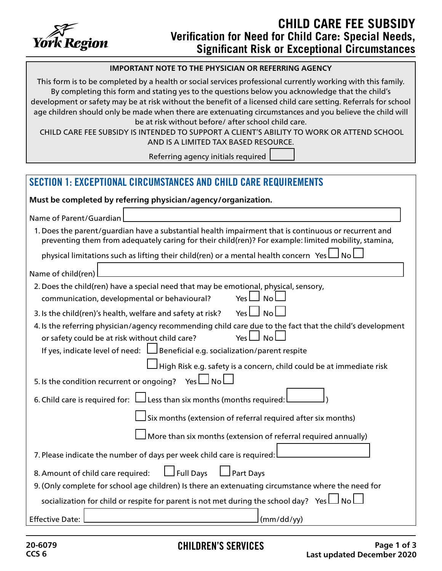

## **IMPORTANT NOTE TO THE PHYSICIAN OR REFERRING AGENCY**

This form is to be completed by a health or social services professional currently working with this family. By completing this form and stating yes to the questions below you acknowledge that the child's development or safety may be at risk without the benefit of a licensed child care setting. Referrals for school age children should only be made when there are extenuating circumstances and you believe the child will be at risk without before/ after school child care.

 CHILD CARE FEE SUBSIDY IS INTENDED TO SUPPORT A CLIENT'S ABILITY TO WORK OR ATTEND SCHOOL AND IS A LIMITED TAX BASED RESOURCE.

Referring agency initials required

| <b>SECTION 1: EXCEPTIONAL CIRCUMSTANCES AND CHILD CARE REQUIREMENTS</b>                                                                                                                                                                                                  |
|--------------------------------------------------------------------------------------------------------------------------------------------------------------------------------------------------------------------------------------------------------------------------|
| Must be completed by referring physician/agency/organization.                                                                                                                                                                                                            |
| Name of Parent/Guardian                                                                                                                                                                                                                                                  |
| 1. Does the parent/guardian have a substantial health impairment that is continuous or recurrent and<br>preventing them from adequately caring for their child(ren)? For example: limited mobility, stamina,                                                             |
| physical limitations such as lifting their child(ren) or a mental health concern Yes LI No                                                                                                                                                                               |
| Name of child(ren)                                                                                                                                                                                                                                                       |
| 2. Does the child(ren) have a special need that may be emotional, physical, sensory,<br>communication, developmental or behavioural?<br>Yes L<br><b>No</b>                                                                                                               |
| <b>No</b><br>Yes L<br>3. Is the child(ren)'s health, welfare and safety at risk?                                                                                                                                                                                         |
| 4. Is the referring physician/agency recommending child care due to the fact that the child's development<br>or safety could be at risk without child care?<br>Yes L<br>$\Box$ No<br>If yes, indicate level of need: $\Box$ Beneficial e.g. socialization/parent respite |
| High Risk e.g. safety is a concern, child could be at immediate risk<br>5. Is the condition recurrent or ongoing?<br><b>No</b><br>Yes l                                                                                                                                  |
| 6. Child care is required for: $\Box$ Less than six months (months required:                                                                                                                                                                                             |
| Six months (extension of referral required after six months)                                                                                                                                                                                                             |
| More than six months (extension of referral required annually)                                                                                                                                                                                                           |
| 7. Please indicate the number of days per week child care is required:                                                                                                                                                                                                   |
| Full Days<br>Part Days<br>8. Amount of child care required:                                                                                                                                                                                                              |
| 9. (Only complete for school age children) Is there an extenuating circumstance where the need for                                                                                                                                                                       |
| socialization for child or respite for parent is not met during the school day? Yes $\Box$ No                                                                                                                                                                            |
| (mm/dd/yy)<br><b>Effective Date:</b>                                                                                                                                                                                                                                     |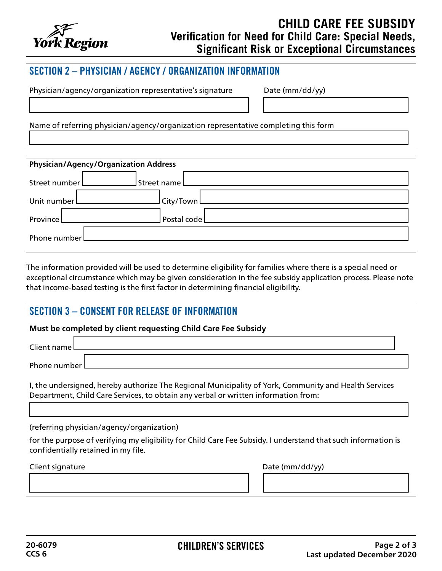

## **CHILD CARE FEE SUBSIDY Verification for Need for Child Care: Special Needs, Significant Risk or Exceptional Circumstances**

| SECTION 2 - PHYSICIAN / AGENCY / ORGANIZATION INFORMATION                           |                 |  |
|-------------------------------------------------------------------------------------|-----------------|--|
| Physician/agency/organization representative's signature                            | Date (mm/dd/yy) |  |
| Name of referring physician/agency/organization representative completing this form |                 |  |

| <b>Physician/Agency/Organization Address</b> |                                                                                                                                                                                                                                      |  |  |
|----------------------------------------------|--------------------------------------------------------------------------------------------------------------------------------------------------------------------------------------------------------------------------------------|--|--|
|                                              | Street number Letter and Street name Letter and Street number Letter and Street number of the Street and Street                                                                                                                      |  |  |
| Unit number                                  | <u>City/Town Commission Commission Commission Commission Commission Commission Commission Commission Commission Commission Commission Commission Commission Commission Commission Commission Commission Commission Commission Co</u> |  |  |
|                                              | Province Lateration and Contract Contract Contract Contract Contract Contract Contract Contract Contract Contract Contract Contract Contract Contract Contract Contract Contract Contract Contract Contract Contract Contract        |  |  |
|                                              | Phone number 2000 and 2000 and 2000 and 2000 and 2000 and 2000 and 2000 and 2000 and 2000 and 2000 and 2000 and 2000 and 2000 and 2000 and 2000 and 2000 and 2000 and 2000 and 2000 and 2000 and 2000 and 2000 and 2000 and 20       |  |  |

The information provided will be used to determine eligibility for families where there is a special need or exceptional circumstance which may be given consideration in the fee subsidy application process. Please note that income-based testing is the first factor in determining financial eligibility.

| <b>SECTION 3 - CONSENT FOR RELEASE OF INFORMATION</b>                                                                                                                                       |  |  |
|---------------------------------------------------------------------------------------------------------------------------------------------------------------------------------------------|--|--|
| Must be completed by client requesting Child Care Fee Subsidy                                                                                                                               |  |  |
| Client name                                                                                                                                                                                 |  |  |
| Phone number                                                                                                                                                                                |  |  |
| I, the undersigned, hereby authorize The Regional Municipality of York, Community and Health Services<br>Department, Child Care Services, to obtain any verbal or written information from: |  |  |
| (referring physician/agency/organization)                                                                                                                                                   |  |  |
| for the purpose of verifying my eligibility for Child Care Fee Subsidy. I understand that such information is<br>confidentially retained in my file.                                        |  |  |
| Date (mm/dd/yy)<br>Client signature                                                                                                                                                         |  |  |